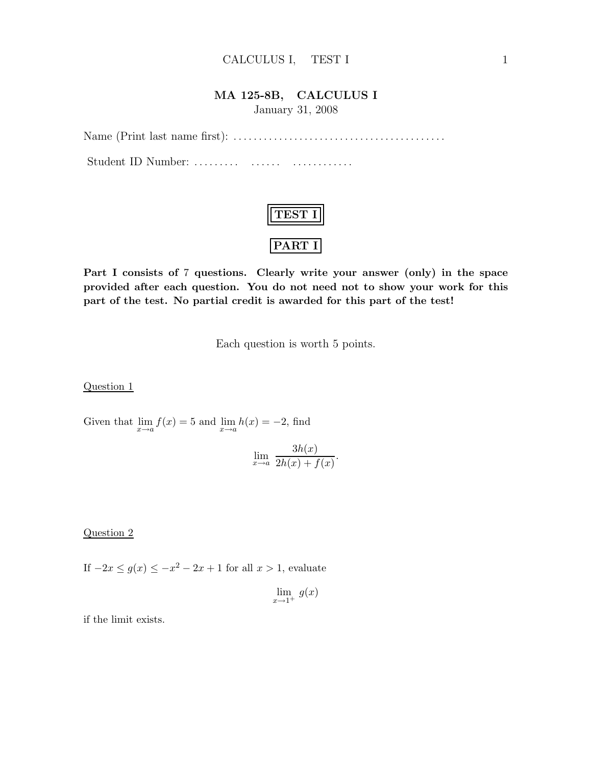#### CALCULUS I, TEST I 1

### MA 125-8B, CALCULUS I

January 31, 2008

Name (Print last name first): . . .. . .. . . . . .. . .. . .. . .. . .. . .. . .. . .. . .. . . . . . Student ID Number: ......... ....... ...............

| 5S L |  |
|------|--|
| ,,,  |  |

Part I consists of 7 questions. Clearly write your answer (only) in the space provided after each question. You do not need not to show your work for this part of the test. No partial credit is awarded for this part of the test!

Each question is worth 5 points.

Question 1

Given that  $\lim_{x\to a} f(x) = 5$  and  $\lim_{x\to a} h(x) = -2$ , find

$$
\lim_{x \to a} \frac{3h(x)}{2h(x) + f(x)}.
$$

Question 2

If  $-2x \le g(x) \le -x^2 - 2x + 1$  for all  $x > 1$ , evaluate

 $\lim_{x\to 1^+} g(x)$ 

if the limit exists.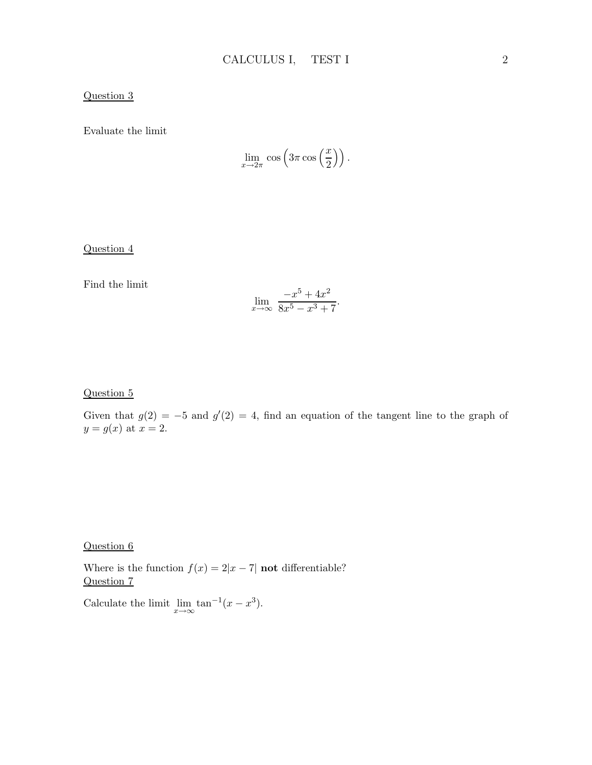### Question 3

Evaluate the limit

$$
\lim_{x \to 2\pi} \cos \left( 3\pi \cos \left( \frac{x}{2} \right) \right).
$$

Question 4

Find the limit

$$
\lim_{x \to \infty} \frac{-x^5 + 4x^2}{8x^5 - x^3 + 7}.
$$

#### Question 5

Given that  $g(2) = -5$  and  $g'(2) = 4$ , find an equation of the tangent line to the graph of  $y = g(x)$  at  $x = 2$ .

Question 6

Where is the function  $f(x) = 2|x-7|$  not differentiable? Question 7

Calculate the limit  $\lim_{x\to\infty} \tan^{-1}(x-x^3)$ .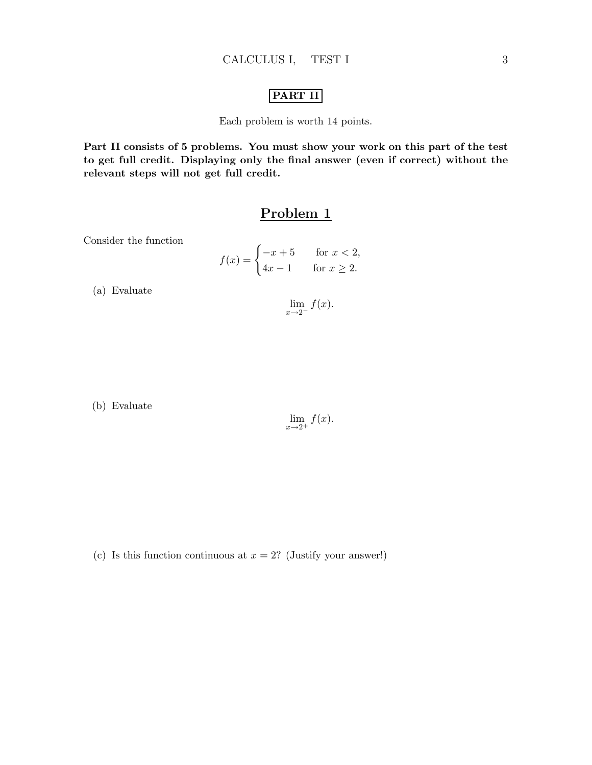## PART II

Each problem is worth 14 points.

Part II consists of 5 problems. You must show your work on this part of the test to get full credit. Displaying only the final answer (even if correct) without the relevant steps will not get full credit.

## Problem 1

Consider the function

$$
f(x) = \begin{cases} -x+5 & \text{for } x < 2, \\ 4x-1 & \text{for } x \ge 2. \end{cases}
$$

(a) Evaluate

 $\lim_{x\to 2^-} f(x).$ 

(b) Evaluate

$$
\lim_{x \to 2^+} f(x).
$$

(c) Is this function continuous at  $x = 2$ ? (Justify your answer!)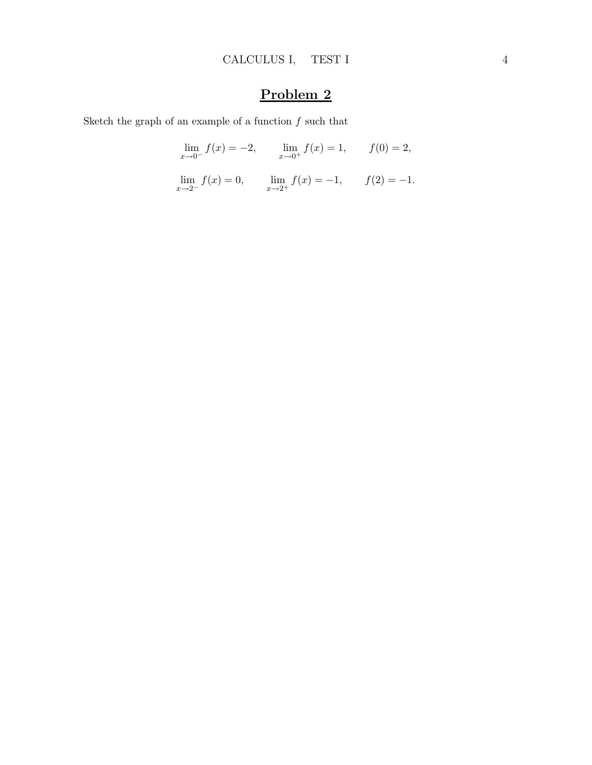Sketch the graph of an example of a function  $f$  such that

$$
\lim_{x \to 0^{-}} f(x) = -2, \qquad \lim_{x \to 0^{+}} f(x) = 1, \qquad f(0) = 2,
$$

 $\lim_{x \to 2^{-}} f(x) = 0, \qquad \lim_{x \to 2^{+}} f(x) = -1, \qquad f(2) = -1.$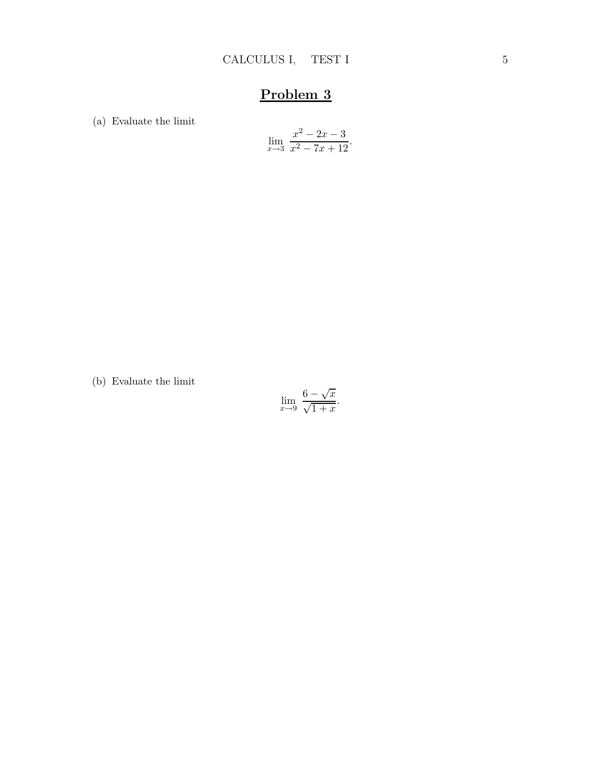(a) Evaluate the limit

$$
\lim_{x \to 3} \frac{x^2 - 2x - 3}{x^2 - 7x + 12}.
$$

(b) Evaluate the limit

$$
\lim_{x \to 9} \frac{6 - \sqrt{x}}{\sqrt{1 + x}}.
$$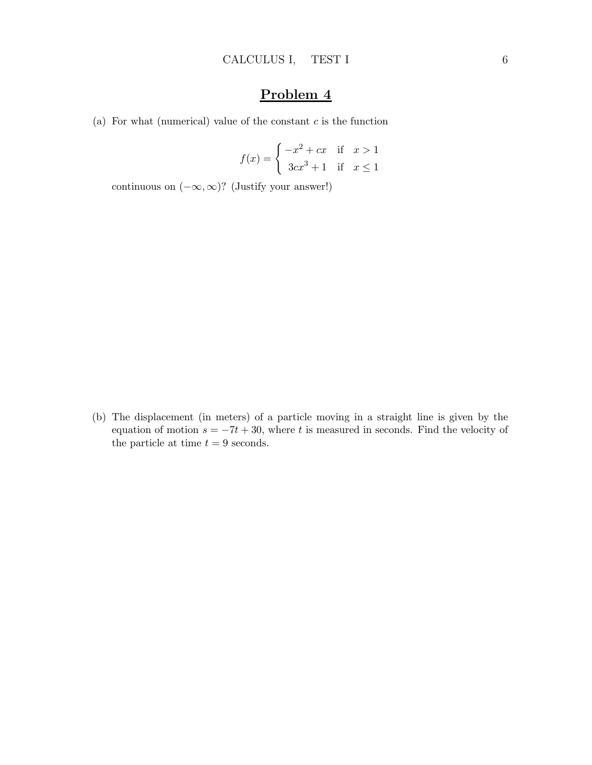(a) For what (numerical) value of the constant  $c$  is the function

$$
f(x) = \begin{cases} -x^2 + cx & \text{if } x > 1\\ 3cx^3 + 1 & \text{if } x \le 1 \end{cases}
$$

continuous on  $(-\infty,\infty)$ ? (Justify your answer!)

(b) The displacement (in meters) of a particle moving in a straight line is given by the equation of motion  $s = -7t + 30$ , where t is measured in seconds. Find the velocity of the particle at time  $t = 9$  seconds.